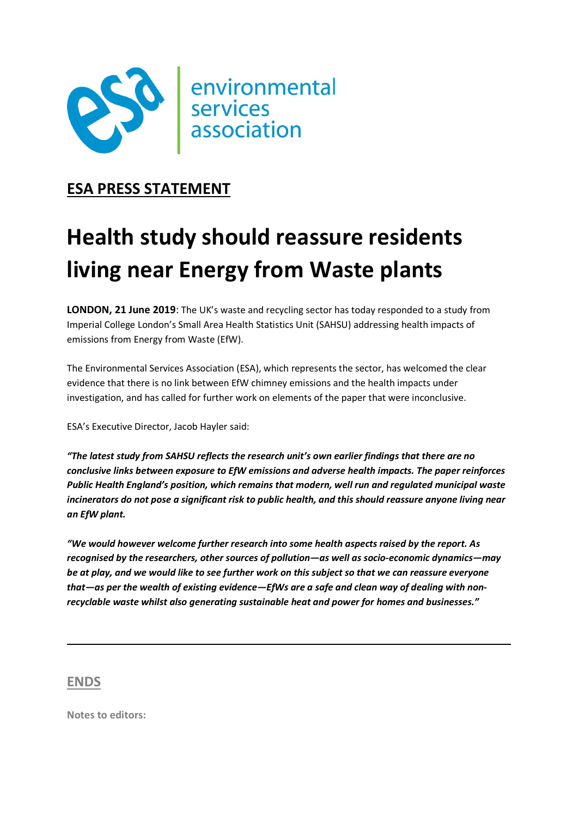

## ESA PRESS STATEMENT

## Health study should reassure residents living near Energy from Waste plants

**LONDON, 21 June 2019**: The UK's waste and recycling sector has today responded to a study from Imperial College London's Small Area Health Statistics Unit (SAHSU) addressing health impacts of emissions from Energy from Waste (EfW).

The Environmental Services Association (ESA), which represents the sector, has welcomed the clear evidence that there is no link between EfW chimney emissions and the health impacts under investigation, and has called for further work on elements of the paper that were inconclusive.

ESA's Executive Director, Jacob Hayler said:

"The latest study from SAHSU reflects the research unit's own earlier findings that there are no conclusive links between exposure to EfW emissions and adverse health impacts. The paper reinforces Public Health England's position, which remains that modern, well run and regulated municipal waste incinerators do not pose a significant risk to public health, and this should reassure anyone living near an EfW plant.

"We would however welcome further research into some health aspects raised by the report. As recognised by the researchers, other sources of pollution—as well as socio-economic dynamics—may be at play, and we would like to see further work on this subject so that we can reassure everyone that—as per the wealth of existing evidence—EfWs are a safe and clean way of dealing with nonrecyclable waste whilst also generating sustainable heat and power for homes and businesses."

## ENDS

Notes to editors: